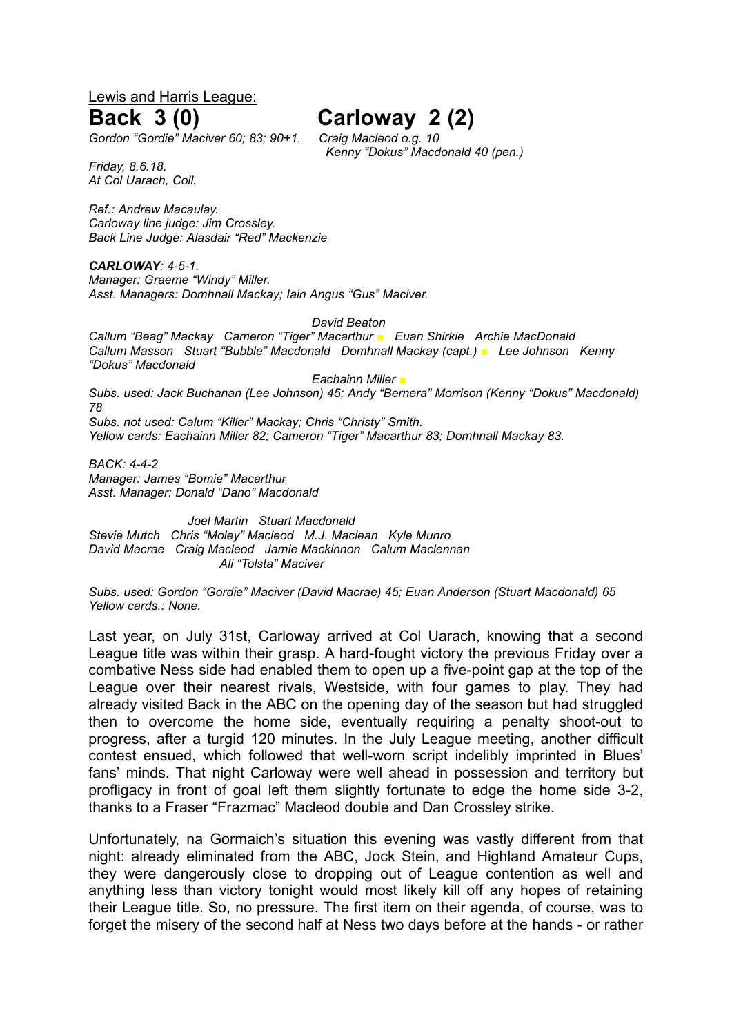Lewis and Harris League:

# **Back 3 (0) Carloway 2 (2)**

*Gordon "Gordie" Maciver 60; 83; 90+1. Craig Macleod o.g. 10* 

*Friday, 8.6.18. At Col Uarach, Coll.*

*Ref.: Andrew Macaulay. Carloway line judge: Jim Crossley. Back Line Judge: Alasdair "Red" Mackenzie*

*CARLOWAY: 4-5-1. Manager: Graeme "Windy" Miller. Asst. Managers: Domhnall Mackay; Iain Angus "Gus" Maciver.*

*David Beaton*

*Callum "Beag" Mackay Cameron "Tiger" Macarthur ■ Euan Shirkie Archie MacDonald Callum Masson Stuart "Bubble" Macdonald Domhnall Mackay (capt.) ■ Lee Johnson Kenny "Dokus" Macdonald*

*Eachainn Miller ■ Subs. used: Jack Buchanan (Lee Johnson) 45; Andy "Bernera" Morrison (Kenny "Dokus" Macdonald) 78 Subs. not used: Calum "Killer" Mackay; Chris "Christy" Smith. Yellow cards: Eachainn Miller 82; Cameron "Tiger" Macarthur 83; Domhnall Mackay 83.*

*BACK: 4-4-2 Manager: James "Bomie" Macarthur Asst. Manager: Donald "Dano" Macdonald*

*Joel Martin Stuart Macdonald Stevie Mutch Chris "Moley" Macleod M.J. Maclean Kyle Munro David Macrae Craig Macleod Jamie Mackinnon Calum Maclennan Ali "Tolsta" Maciver*

*Subs. used: Gordon "Gordie" Maciver (David Macrae) 45; Euan Anderson (Stuart Macdonald) 65 Yellow cards.: None.*

Last year, on July 31st, Carloway arrived at Col Uarach, knowing that a second League title was within their grasp. A hard-fought victory the previous Friday over a combative Ness side had enabled them to open up a five-point gap at the top of the League over their nearest rivals, Westside, with four games to play. They had already visited Back in the ABC on the opening day of the season but had struggled then to overcome the home side, eventually requiring a penalty shoot-out to progress, after a turgid 120 minutes. In the July League meeting, another difficult contest ensued, which followed that well-worn script indelibly imprinted in Blues' fans' minds. That night Carloway were well ahead in possession and territory but profligacy in front of goal left them slightly fortunate to edge the home side 3-2, thanks to a Fraser "Frazmac" Macleod double and Dan Crossley strike.

Unfortunately, na Gormaich's situation this evening was vastly different from that night: already eliminated from the ABC, Jock Stein, and Highland Amateur Cups, they were dangerously close to dropping out of League contention as well and anything less than victory tonight would most likely kill off any hopes of retaining their League title. So, no pressure. The first item on their agenda, of course, was to forget the misery of the second half at Ness two days before at the hands - or rather

*Kenny "Dokus" Macdonald 40 (pen.)*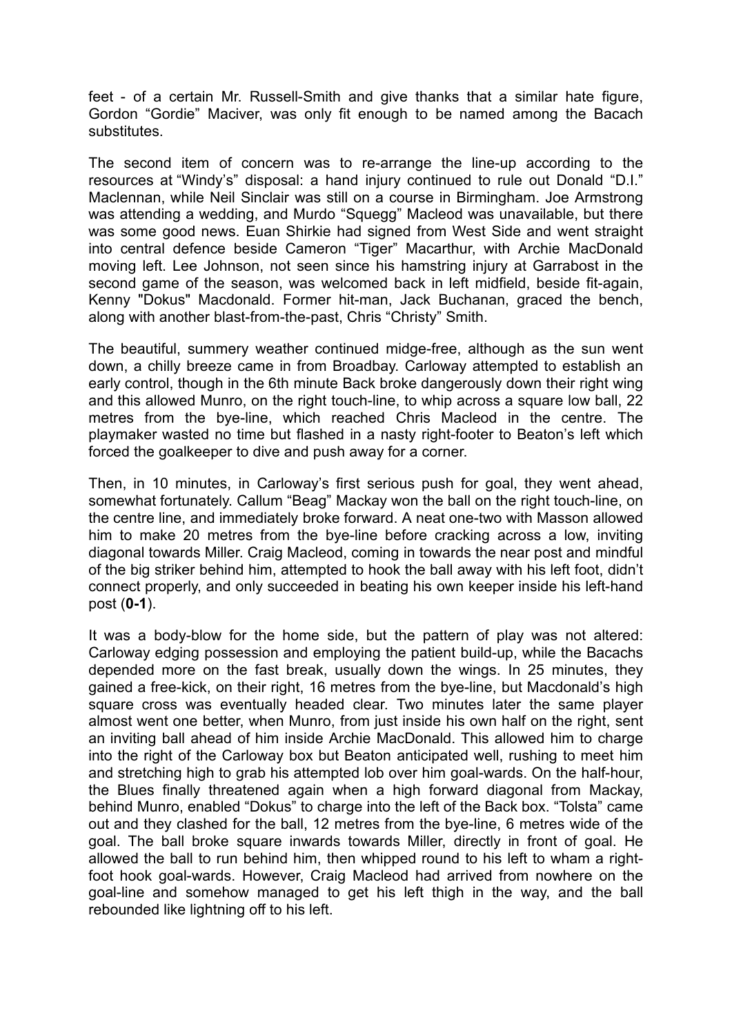feet - of a certain Mr. Russell-Smith and give thanks that a similar hate figure, Gordon "Gordie" Maciver, was only fit enough to be named among the Bacach substitutes.

The second item of concern was to re-arrange the line-up according to the resources at "Windy's" disposal: a hand injury continued to rule out Donald "D.I." Maclennan, while Neil Sinclair was still on a course in Birmingham. Joe Armstrong was attending a wedding, and Murdo "Squegg" Macleod was unavailable, but there was some good news. Euan Shirkie had signed from West Side and went straight into central defence beside Cameron "Tiger" Macarthur, with Archie MacDonald moving left. Lee Johnson, not seen since his hamstring injury at Garrabost in the second game of the season, was welcomed back in left midfield, beside fit-again, Kenny "Dokus" Macdonald. Former hit-man, Jack Buchanan, graced the bench, along with another blast-from-the-past, Chris "Christy" Smith.

The beautiful, summery weather continued midge-free, although as the sun went down, a chilly breeze came in from Broadbay. Carloway attempted to establish an early control, though in the 6th minute Back broke dangerously down their right wing and this allowed Munro, on the right touch-line, to whip across a square low ball, 22 metres from the bye-line, which reached Chris Macleod in the centre. The playmaker wasted no time but flashed in a nasty right-footer to Beaton's left which forced the goalkeeper to dive and push away for a corner.

Then, in 10 minutes, in Carloway's first serious push for goal, they went ahead, somewhat fortunately. Callum "Beag" Mackay won the ball on the right touch-line, on the centre line, and immediately broke forward. A neat one-two with Masson allowed him to make 20 metres from the bye-line before cracking across a low, inviting diagonal towards Miller. Craig Macleod, coming in towards the near post and mindful of the big striker behind him, attempted to hook the ball away with his left foot, didn't connect properly, and only succeeded in beating his own keeper inside his left-hand post (**0-1**).

It was a body-blow for the home side, but the pattern of play was not altered: Carloway edging possession and employing the patient build-up, while the Bacachs depended more on the fast break, usually down the wings. In 25 minutes, they gained a free-kick, on their right, 16 metres from the bye-line, but Macdonald's high square cross was eventually headed clear. Two minutes later the same player almost went one better, when Munro, from just inside his own half on the right, sent an inviting ball ahead of him inside Archie MacDonald. This allowed him to charge into the right of the Carloway box but Beaton anticipated well, rushing to meet him and stretching high to grab his attempted lob over him goal-wards. On the half-hour, the Blues finally threatened again when a high forward diagonal from Mackay, behind Munro, enabled "Dokus" to charge into the left of the Back box. "Tolsta" came out and they clashed for the ball, 12 metres from the bye-line, 6 metres wide of the goal. The ball broke square inwards towards Miller, directly in front of goal. He allowed the ball to run behind him, then whipped round to his left to wham a rightfoot hook goal-wards. However, Craig Macleod had arrived from nowhere on the goal-line and somehow managed to get his left thigh in the way, and the ball rebounded like lightning off to his left.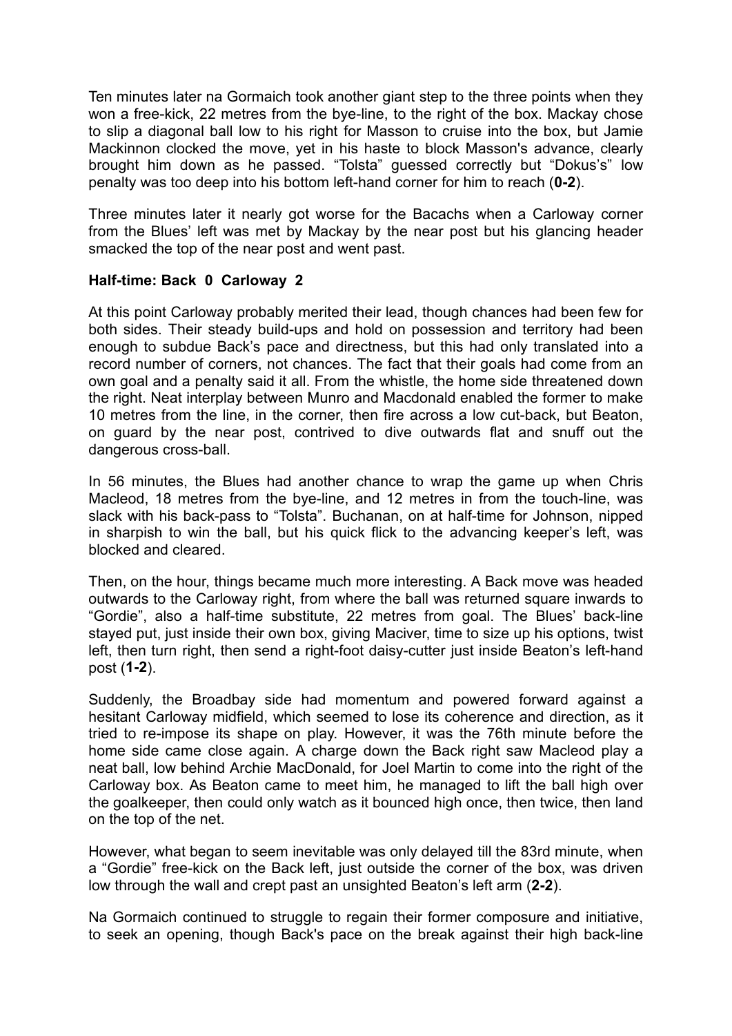Ten minutes later na Gormaich took another giant step to the three points when they won a free-kick, 22 metres from the bye-line, to the right of the box. Mackay chose to slip a diagonal ball low to his right for Masson to cruise into the box, but Jamie Mackinnon clocked the move, yet in his haste to block Masson's advance, clearly brought him down as he passed. "Tolsta" guessed correctly but "Dokus's" low penalty was too deep into his bottom left-hand corner for him to reach (**0-2**).

Three minutes later it nearly got worse for the Bacachs when a Carloway corner from the Blues' left was met by Mackay by the near post but his glancing header smacked the top of the near post and went past.

## **Half-time: Back 0 Carloway 2**

At this point Carloway probably merited their lead, though chances had been few for both sides. Their steady build-ups and hold on possession and territory had been enough to subdue Back's pace and directness, but this had only translated into a record number of corners, not chances. The fact that their goals had come from an own goal and a penalty said it all. From the whistle, the home side threatened down the right. Neat interplay between Munro and Macdonald enabled the former to make 10 metres from the line, in the corner, then fire across a low cut-back, but Beaton, on guard by the near post, contrived to dive outwards flat and snuff out the dangerous cross-ball.

In 56 minutes, the Blues had another chance to wrap the game up when Chris Macleod, 18 metres from the bye-line, and 12 metres in from the touch-line, was slack with his back-pass to "Tolsta". Buchanan, on at half-time for Johnson, nipped in sharpish to win the ball, but his quick flick to the advancing keeper's left, was blocked and cleared.

Then, on the hour, things became much more interesting. A Back move was headed outwards to the Carloway right, from where the ball was returned square inwards to "Gordie", also a half-time substitute, 22 metres from goal. The Blues' back-line stayed put, just inside their own box, giving Maciver, time to size up his options, twist left, then turn right, then send a right-foot daisy-cutter just inside Beaton's left-hand post (**1-2**).

Suddenly, the Broadbay side had momentum and powered forward against a hesitant Carloway midfield, which seemed to lose its coherence and direction, as it tried to re-impose its shape on play. However, it was the 76th minute before the home side came close again. A charge down the Back right saw Macleod play a neat ball, low behind Archie MacDonald, for Joel Martin to come into the right of the Carloway box. As Beaton came to meet him, he managed to lift the ball high over the goalkeeper, then could only watch as it bounced high once, then twice, then land on the top of the net.

However, what began to seem inevitable was only delayed till the 83rd minute, when a "Gordie" free-kick on the Back left, just outside the corner of the box, was driven low through the wall and crept past an unsighted Beaton's left arm (**2-2**).

Na Gormaich continued to struggle to regain their former composure and initiative, to seek an opening, though Back's pace on the break against their high back-line